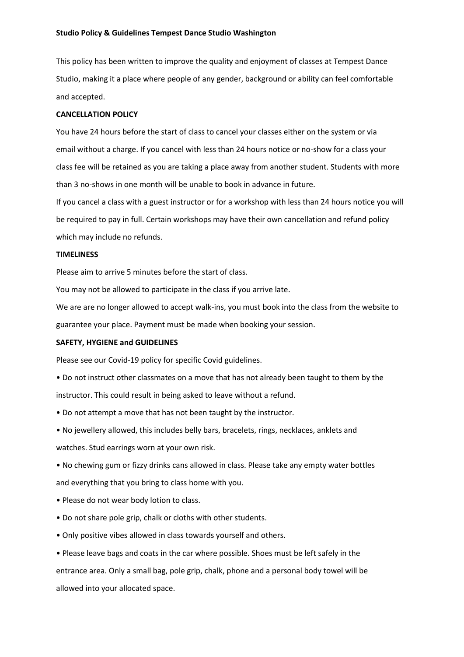This policy has been written to improve the quality and enjoyment of classes at Tempest Dance Studio, making it a place where people of any gender, background or ability can feel comfortable and accepted.

## **CANCELLATION POLICY**

You have 24 hours before the start of class to cancel your classes either on the system or via email without a charge. If you cancel with less than 24 hours notice or no-show for a class your class fee will be retained as you are taking a place away from another student. Students with more than 3 no-shows in one month will be unable to book in advance in future.

If you cancel a class with a guest instructor or for a workshop with less than 24 hours notice you will be required to pay in full. Certain workshops may have their own cancellation and refund policy which may include no refunds.

## **TIMELINESS**

Please aim to arrive 5 minutes before the start of class.

You may not be allowed to participate in the class if you arrive late.

We are are no longer allowed to accept walk-ins, you must book into the class from the website to guarantee your place. Payment must be made when booking your session.

# **SAFETY, HYGIENE and GUIDELINES**

Please see our Covid-19 policy for specific Covid guidelines.

- Do not instruct other classmates on a move that has not already been taught to them by the instructor. This could result in being asked to leave without a refund.
- Do not attempt a move that has not been taught by the instructor.
- No jewellery allowed, this includes belly bars, bracelets, rings, necklaces, anklets and

watches. Stud earrings worn at your own risk.

• No chewing gum or fizzy drinks cans allowed in class. Please take any empty water bottles and everything that you bring to class home with you.

- Please do not wear body lotion to class.
- Do not share pole grip, chalk or cloths with other students.
- Only positive vibes allowed in class towards yourself and others.

• Please leave bags and coats in the car where possible. Shoes must be left safely in the entrance area. Only a small bag, pole grip, chalk, phone and a personal body towel will be allowed into your allocated space.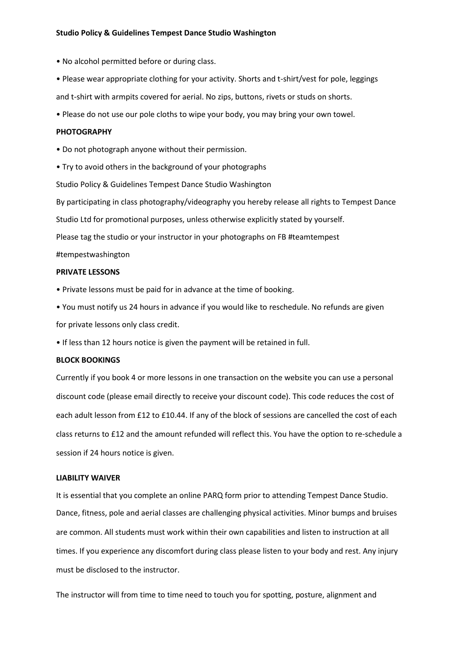- No alcohol permitted before or during class.
- Please wear appropriate clothing for your activity. Shorts and t-shirt/vest for pole, leggings and t-shirt with armpits covered for aerial. No zips, buttons, rivets or studs on shorts.
- Please do not use our pole cloths to wipe your body, you may bring your own towel.

## **PHOTOGRAPHY**

- Do not photograph anyone without their permission.
- Try to avoid others in the background of your photographs

Studio Policy & Guidelines Tempest Dance Studio Washington

By participating in class photography/videography you hereby release all rights to Tempest Dance

Studio Ltd for promotional purposes, unless otherwise explicitly stated by yourself.

Please tag the studio or your instructor in your photographs on FB #teamtempest

### #tempestwashington

#### **PRIVATE LESSONS**

- Private lessons must be paid for in advance at the time of booking.
- You must notify us 24 hours in advance if you would like to reschedule. No refunds are given for private lessons only class credit.
- If less than 12 hours notice is given the payment will be retained in full.

### **BLOCK BOOKINGS**

Currently if you book 4 or more lessons in one transaction on the website you can use a personal discount code (please email directly to receive your discount code). This code reduces the cost of each adult lesson from £12 to £10.44. If any of the block of sessions are cancelled the cost of each class returns to £12 and the amount refunded will reflect this. You have the option to re-schedule a session if 24 hours notice is given.

#### **LIABILITY WAIVER**

It is essential that you complete an online PARQ form prior to attending Tempest Dance Studio. Dance, fitness, pole and aerial classes are challenging physical activities. Minor bumps and bruises are common. All students must work within their own capabilities and listen to instruction at all times. If you experience any discomfort during class please listen to your body and rest. Any injury must be disclosed to the instructor.

The instructor will from time to time need to touch you for spotting, posture, alignment and